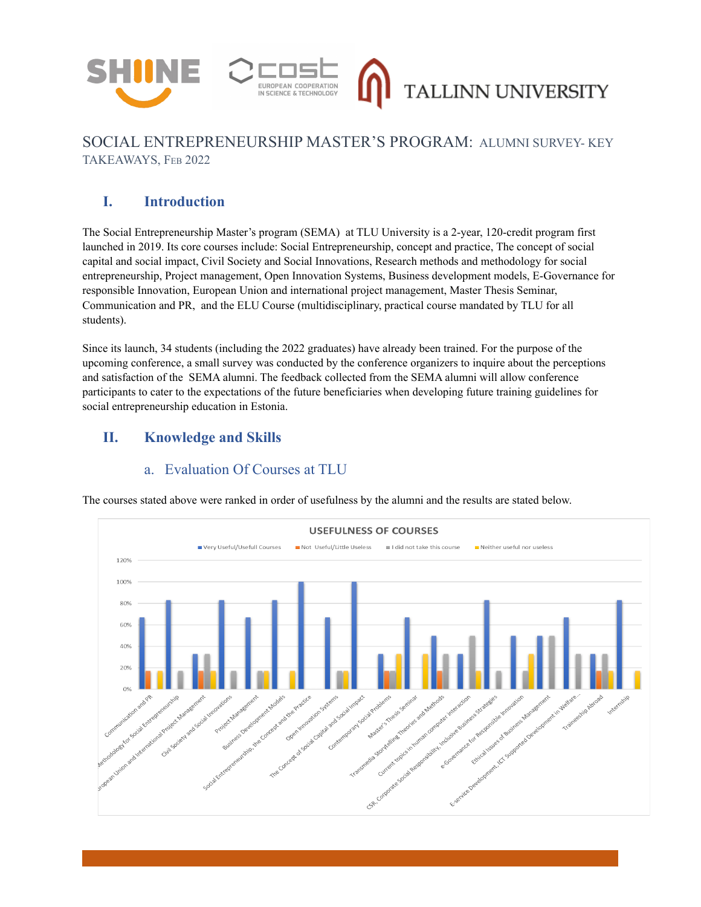



## SOCIAL ENTREPRENEURSHIP MASTER'S PROGRAM: ALUMNI SURVEY- KEY TAKEAWAYS, FEB 2022

TALLINN UNIVERSITY

# **I. Introduction**

The Social Entrepreneurship Master's program (SEMA) at TLU University is a 2-year, 120-credit program first launched in 2019. Its core courses include: Social Entrepreneurship, concept and practice, The concept of social capital and social impact, Civil Society and Social Innovations, Research methods and methodology for social entrepreneurship, Project management, Open Innovation Systems, Business development models, E-Governance for responsible Innovation, European Union and international project management, Master Thesis Seminar, Communication and PR, and the ELU Course (multidisciplinary, practical course mandated by TLU for all students).

Since its launch, 34 students (including the 2022 graduates) have already been trained. For the purpose of the upcoming conference, a small survey was conducted by the conference organizers to inquire about the perceptions and satisfaction of the SEMA alumni. The feedback collected from the SEMA alumni will allow conference participants to cater to the expectations of the future beneficiaries when developing future training guidelines for social entrepreneurship education in Estonia.

## **II. Knowledge and Skills**

## a. Evaluation Of Courses at TLU

The courses stated above were ranked in order of usefulness by the alumni and the results are stated below.

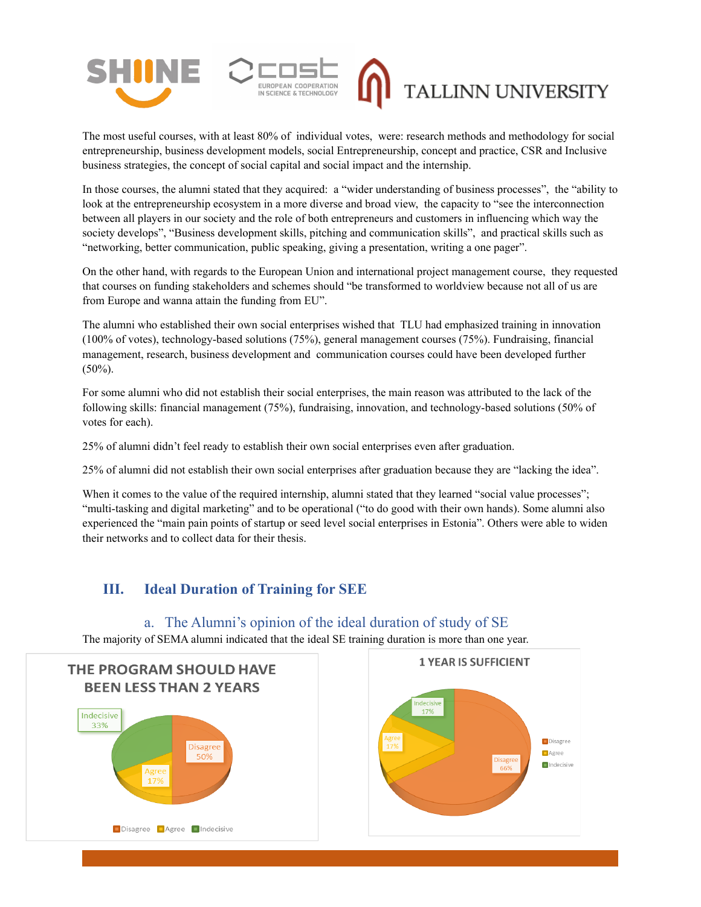



# TALLINN UNIVERSITY

The most useful courses, with at least 80% of individual votes, were: research methods and methodology for social entrepreneurship, business development models, social Entrepreneurship, concept and practice, CSR and Inclusive business strategies, the concept of social capital and social impact and the internship.

In those courses, the alumni stated that they acquired: a "wider understanding of business processes", the "ability to look at the entrepreneurship ecosystem in a more diverse and broad view, the capacity to "see the interconnection between all players in our society and the role of both entrepreneurs and customers in influencing which way the society develops", "Business development skills, pitching and communication skills", and practical skills such as "networking, better communication, public speaking, giving a presentation, writing a one pager".

On the other hand, with regards to the European Union and international project management course, they requested that courses on funding stakeholders and schemes should "be transformed to worldview because not all of us are from Europe and wanna attain the funding from EU".

The alumni who established their own social enterprises wished that TLU had emphasized training in innovation (100% of votes), technology-based solutions (75%), general management courses (75%). Fundraising, financial management, research, business development and communication courses could have been developed further (50%).

For some alumni who did not establish their social enterprises, the main reason was attributed to the lack of the following skills: financial management (75%), fundraising, innovation, and technology-based solutions (50% of votes for each).

25% of alumni didn't feel ready to establish their own social enterprises even after graduation.

25% of alumni did not establish their own social enterprises after graduation because they are "lacking the idea".

When it comes to the value of the required internship, alumni stated that they learned "social value processes"; "multi-tasking and digital marketing" and to be operational ("to do good with their own hands). Some alumni also experienced the "main pain points of startup or seed level social enterprises in Estonia". Others were able to widen their networks and to collect data for their thesis.

## **III. Ideal Duration of Training for SEE**

Disagree **Agree** Indecisive

#### a. The Alumni's opinion of the ideal duration of study of SE The majority of SEMA alumni indicated that the ideal SE training duration is more than one year.**1 YEAR IS SUFFICIENT THE PROGRAM SHOULD HAVE BEEN LESS THAN 2 YEARS** Indecisive 33%  $\Box$  Disagree **Disagre**  $\Box$ Agree 50%  $\blacksquare$ Indecisive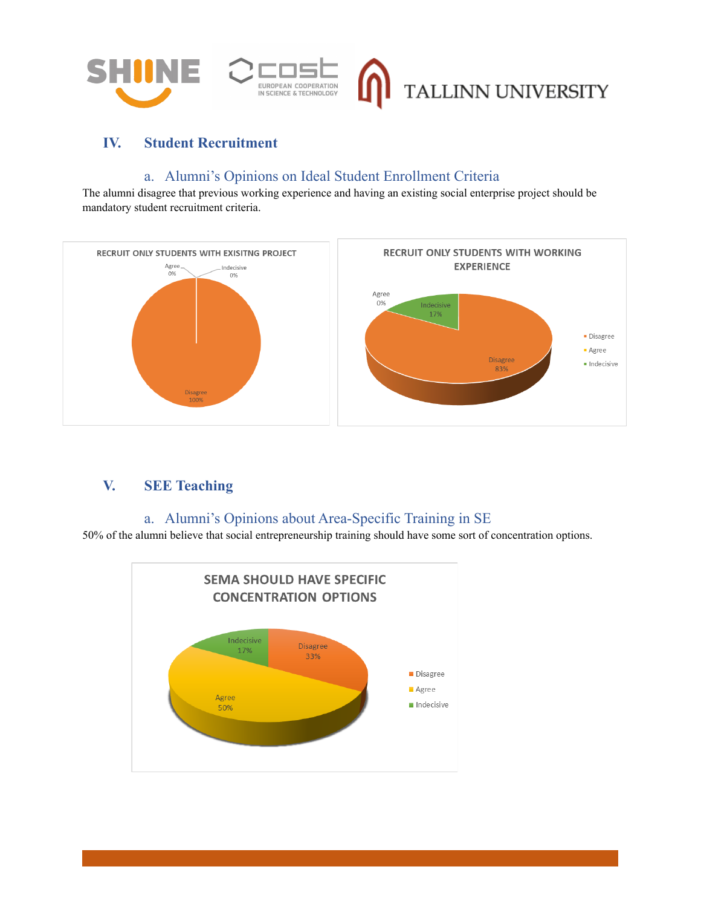

# **IV. Student Recruitment**

#### a. Alumni's Opinions on Ideal Student Enrollment Criteria

The alumni disagree that previous working experience and having an existing social enterprise project should be mandatory student recruitment criteria.



## **V. SEE Teaching**

## a. Alumni's Opinions about Area-Specific Training in SE

50% of the alumni believe that social entrepreneurship training should have some sort of concentration options.